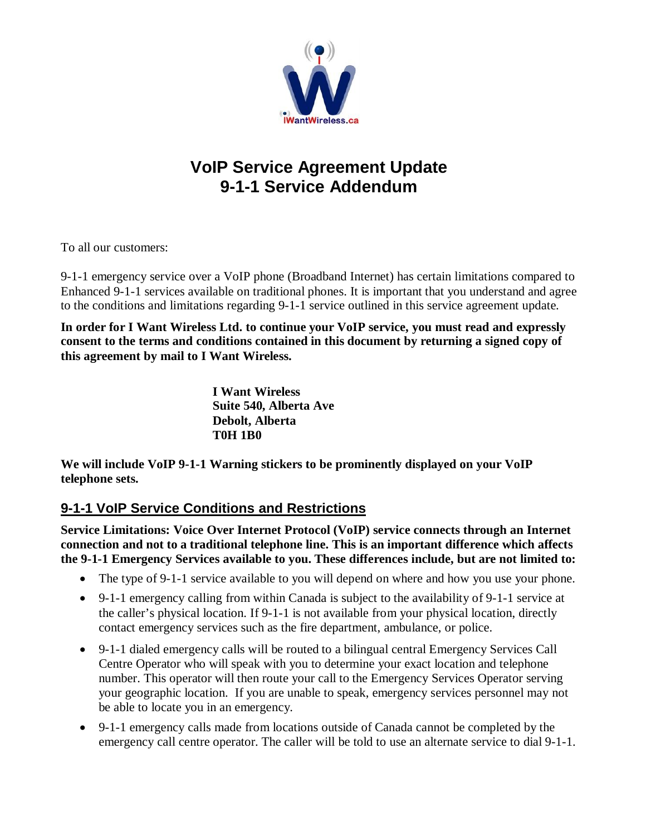

# **VoIP Service Agreement Update 9-1-1 Service Addendum**

To all our customers:

9-1-1 emergency service over a VoIP phone (Broadband Internet) has certain limitations compared to Enhanced 9-1-1 services available on traditional phones. It is important that you understand and agree to the conditions and limitations regarding 9-1-1 service outlined in this service agreement update.

**In order for I Want Wireless Ltd. to continue your VoIP service, you must read and expressly consent to the terms and conditions contained in this document by returning a signed copy of this agreement by mail to I Want Wireless.**

> **I Want Wireless Suite 540, Alberta Ave Debolt, Alberta T0H 1B0**

**We will include VoIP 9-1-1 Warning stickers to be prominently displayed on your VoIP telephone sets.**

# **9-1-1 VoIP Service Conditions and Restrictions**

**Service Limitations: Voice Over Internet Protocol (VoIP) service connects through an Internet connection and not to a traditional telephone line. This is an important difference which affects the 9-1-1 Emergency Services available to you. These differences include, but are not limited to:**

- The type of 9-1-1 service available to you will depend on where and how you use your phone.
- 9-1-1 emergency calling from within Canada is subject to the availability of 9-1-1 service at the caller's physical location. If 9-1-1 is not available from your physical location, directly contact emergency services such as the fire department, ambulance, or police.
- 9-1-1 dialed emergency calls will be routed to a bilingual central Emergency Services Call Centre Operator who will speak with you to determine your exact location and telephone number. This operator will then route your call to the Emergency Services Operator serving your geographic location. If you are unable to speak, emergency services personnel may not be able to locate you in an emergency.
- 9-1-1 emergency calls made from locations outside of Canada cannot be completed by the emergency call centre operator. The caller will be told to use an alternate service to dial 9-1-1.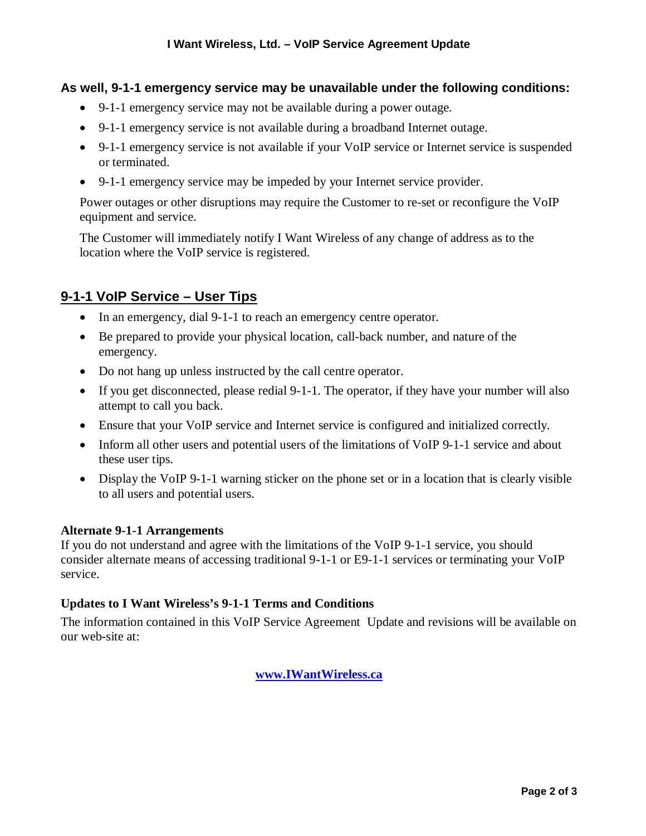#### **As well, 9-1-1 emergency service may be unavailable under the following conditions:**

- 9-1-1 emergency service may not be available during a power outage.
- 9-1-1 emergency service is not available during a broadband Internet outage.
- 9-1-1 emergency service is not available if your VoIP service or Internet service is suspended or terminated.
- 9-1-1 emergency service may be impeded by your Internet service provider.

Power outages or other disruptions may require the Customer to re-set or reconfigure the VoIP equipment and service.

The Customer will immediately notify I Want Wireless of any change of address as to the location where the VoIP service is registered.

## **9-1-1 VoIP Service – User Tips**

- In an emergency, dial 9-1-1 to reach an emergency centre operator.
- Be prepared to provide your physical location, call-back number, and nature of the emergency.
- Do not hang up unless instructed by the call centre operator.
- If you get disconnected, please redial 9-1-1. The operator, if they have your number will also attempt to call you back.
- Ensure that your VoIP service and Internet service is configured and initialized correctly.
- Inform all other users and potential users of the limitations of VoIP 9-1-1 service and about these user tips.
- Display the VoIP 9-1-1 warning sticker on the phone set or in a location that is clearly visible to all users and potential users.

#### **Alternate 9-1-1 Arrangements**

If you do not understand and agree with the limitations of the VoIP 9-1-1 service, you should consider alternate means of accessing traditional 9-1-1 or E9-1-1 services or terminating your VoIP service.

#### **Updates to I Want Wireless's 9-1-1 Terms and Conditions**

The information contained in this VoIP Service Agreement Update and revisions will be available on our web-site at:

**www.IWantWireless.ca**